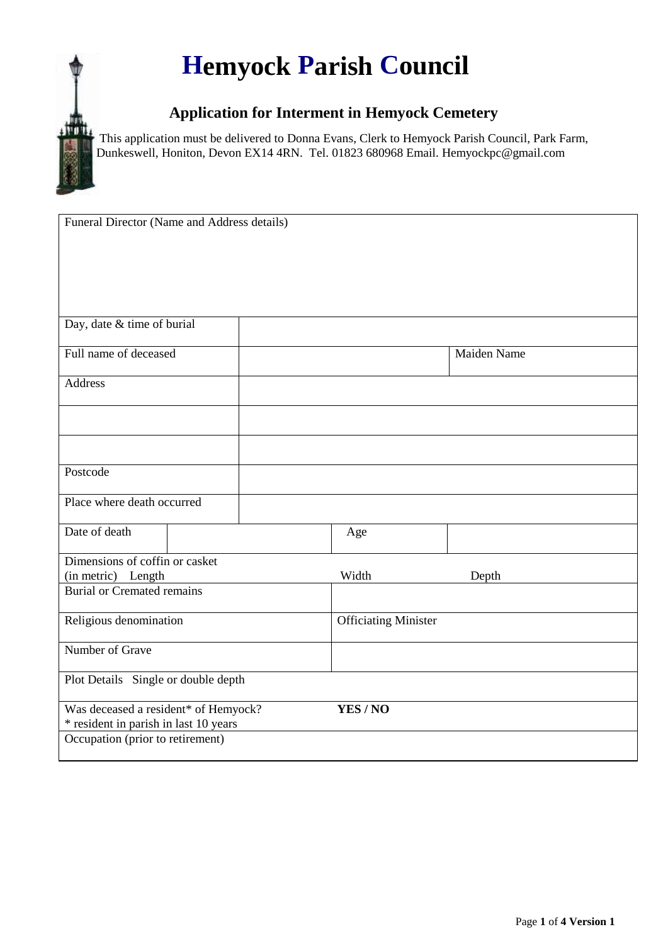## **Hemyock Parish Council**

## **Application for Interment in Hemyock Cemetery**

This application must be delivered to Donna Evans, Clerk to Hemyock Parish Council, Park Farm, Dunkeswell, Honiton, Devon EX14 4RN. Tel. 01823 680968 Email. Hemyockpc@gmail.com

| Funeral Director (Name and Address details) |  |        |                             |  |  |
|---------------------------------------------|--|--------|-----------------------------|--|--|
|                                             |  |        |                             |  |  |
|                                             |  |        |                             |  |  |
| Day, date & time of burial                  |  |        |                             |  |  |
| Full name of deceased                       |  |        | Maiden Name                 |  |  |
| <b>Address</b>                              |  |        |                             |  |  |
|                                             |  |        |                             |  |  |
|                                             |  |        |                             |  |  |
| Postcode                                    |  |        |                             |  |  |
| Place where death occurred                  |  |        |                             |  |  |
| Date of death                               |  | Age    |                             |  |  |
| Dimensions of coffin or casket              |  |        |                             |  |  |
| (in metric) Length                          |  | Width  | Depth                       |  |  |
| <b>Burial or Cremated remains</b>           |  |        |                             |  |  |
| Religious denomination                      |  |        | <b>Officiating Minister</b> |  |  |
| Number of Grave                             |  |        |                             |  |  |
| Plot Details Single or double depth         |  |        |                             |  |  |
| Was deceased a resident* of Hemyock?        |  | YES/NO |                             |  |  |
| * resident in parish in last 10 years       |  |        |                             |  |  |
| Occupation (prior to retirement)            |  |        |                             |  |  |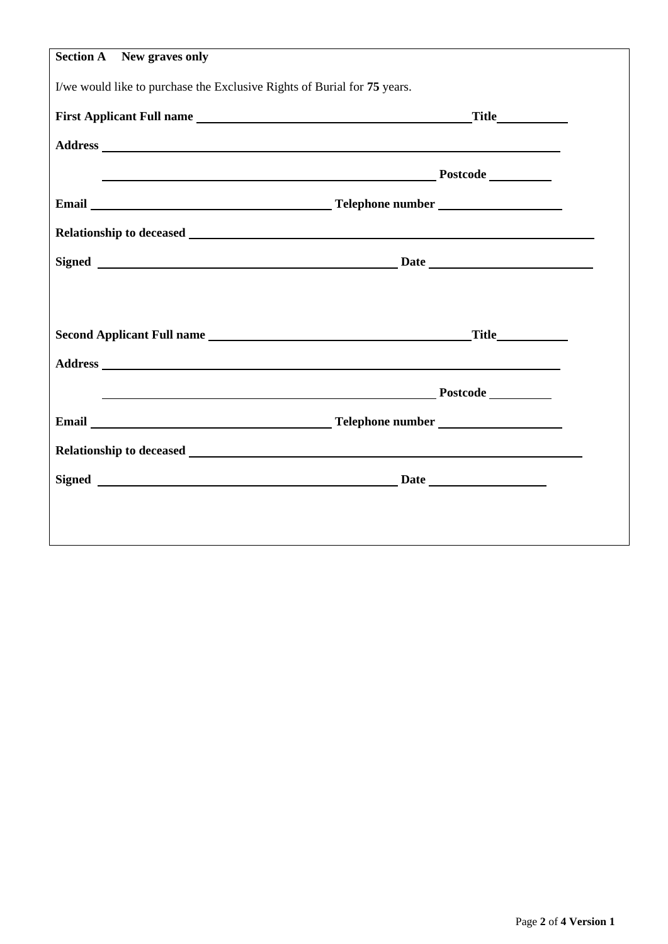| <b>Section A</b> New graves only                                                                                                                                                                                              |                                                                                                                                                                                                                                    |  |  |  |  |
|-------------------------------------------------------------------------------------------------------------------------------------------------------------------------------------------------------------------------------|------------------------------------------------------------------------------------------------------------------------------------------------------------------------------------------------------------------------------------|--|--|--|--|
| I/we would like to purchase the Exclusive Rights of Burial for 75 years.                                                                                                                                                      |                                                                                                                                                                                                                                    |  |  |  |  |
|                                                                                                                                                                                                                               |                                                                                                                                                                                                                                    |  |  |  |  |
|                                                                                                                                                                                                                               |                                                                                                                                                                                                                                    |  |  |  |  |
|                                                                                                                                                                                                                               | <u>Postcode</u>                                                                                                                                                                                                                    |  |  |  |  |
|                                                                                                                                                                                                                               |                                                                                                                                                                                                                                    |  |  |  |  |
|                                                                                                                                                                                                                               |                                                                                                                                                                                                                                    |  |  |  |  |
|                                                                                                                                                                                                                               |                                                                                                                                                                                                                                    |  |  |  |  |
|                                                                                                                                                                                                                               |                                                                                                                                                                                                                                    |  |  |  |  |
| Second Applicant Full name Title Title                                                                                                                                                                                        |                                                                                                                                                                                                                                    |  |  |  |  |
|                                                                                                                                                                                                                               |                                                                                                                                                                                                                                    |  |  |  |  |
|                                                                                                                                                                                                                               | <u>Postcode</u> Postcode Processors and the set of the set of the set of the set of the set of the set of the set of the set of the set of the set of the set of the set of the set of the set of the set of the set of the set of |  |  |  |  |
|                                                                                                                                                                                                                               |                                                                                                                                                                                                                                    |  |  |  |  |
| Relationship to deceased Law and the contract of the contract of the contract of the contract of the contract of the contract of the contract of the contract of the contract of the contract of the contract of the contract |                                                                                                                                                                                                                                    |  |  |  |  |
|                                                                                                                                                                                                                               |                                                                                                                                                                                                                                    |  |  |  |  |
|                                                                                                                                                                                                                               |                                                                                                                                                                                                                                    |  |  |  |  |
|                                                                                                                                                                                                                               |                                                                                                                                                                                                                                    |  |  |  |  |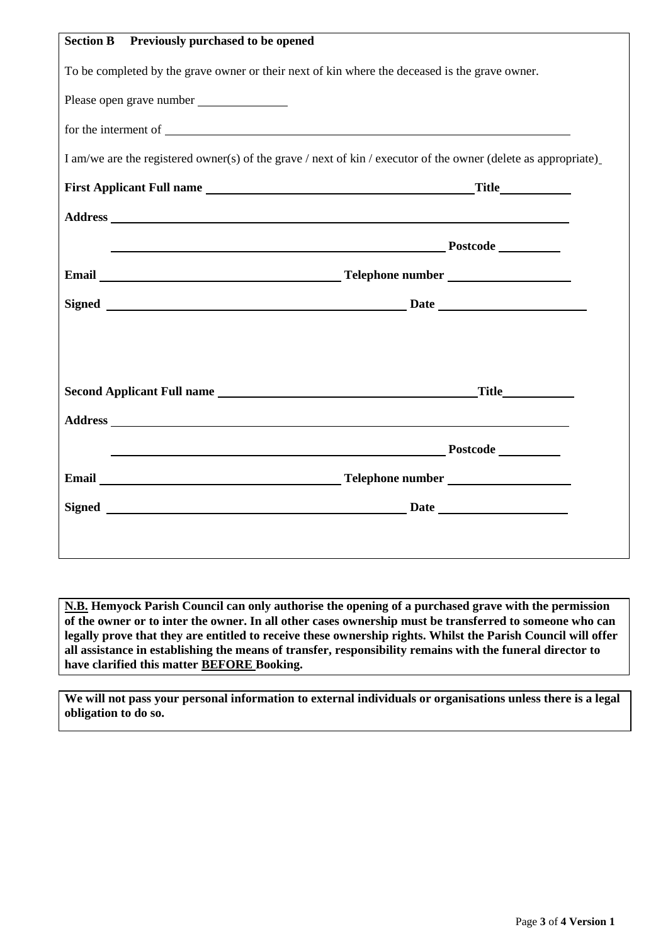| <b>Section B</b>                                                                               | <b>Previously purchased to be opened</b>                                                                       |  |  |  |
|------------------------------------------------------------------------------------------------|----------------------------------------------------------------------------------------------------------------|--|--|--|
| To be completed by the grave owner or their next of kin where the deceased is the grave owner. |                                                                                                                |  |  |  |
|                                                                                                |                                                                                                                |  |  |  |
|                                                                                                |                                                                                                                |  |  |  |
|                                                                                                | I am/we are the registered owner(s) of the grave / next of kin / executor of the owner (delete as appropriate) |  |  |  |
|                                                                                                |                                                                                                                |  |  |  |
|                                                                                                |                                                                                                                |  |  |  |
|                                                                                                | Postcode Postcode                                                                                              |  |  |  |
|                                                                                                |                                                                                                                |  |  |  |
|                                                                                                |                                                                                                                |  |  |  |
|                                                                                                |                                                                                                                |  |  |  |
|                                                                                                |                                                                                                                |  |  |  |
|                                                                                                |                                                                                                                |  |  |  |
|                                                                                                |                                                                                                                |  |  |  |
|                                                                                                |                                                                                                                |  |  |  |
|                                                                                                |                                                                                                                |  |  |  |
|                                                                                                |                                                                                                                |  |  |  |
|                                                                                                |                                                                                                                |  |  |  |
|                                                                                                |                                                                                                                |  |  |  |

**N.B. Hemyock Parish Council can only authorise the opening of a purchased grave with the permission of the owner or to inter the owner. In all other cases ownership must be transferred to someone who can legally prove that they are entitled to receive these ownership rights. Whilst the Parish Council will offer all assistance in establishing the means of transfer, responsibility remains with the funeral director to have clarified this matter BEFORE Booking.**

**We will not pass your personal information to external individuals or organisations unless there is a legal obligation to do so.**